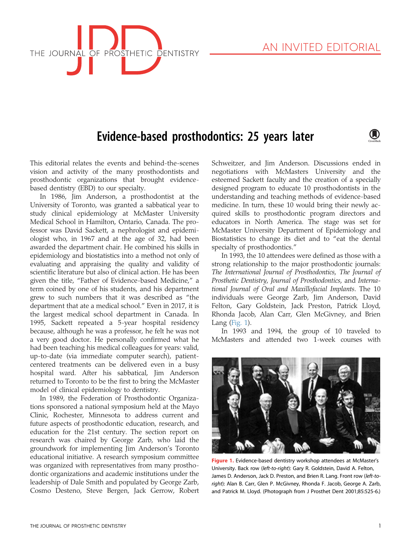

 $\left( \blacksquare \right)$ 

# Evidence-based prosthodontics: 25 years later

This editorial relates the events and behind-the-scenes vision and activity of the many prosthodontists and prosthodontic organizations that brought evidencebased dentistry (EBD) to our specialty.

In 1986, Jim Anderson, a prosthodontist at the University of Toronto, was granted a sabbatical year to study clinical epidemiology at McMaster University Medical School in Hamilton, Ontario, Canada. The professor was David Sackett, a nephrologist and epidemiologist who, in 1967 and at the age of 32, had been awarded the department chair. He combined his skills in epidemiology and biostatistics into a method not only of evaluating and appraising the quality and validity of scientific literature but also of clinical action. He has been given the title, "Father of Evidence-based Medicine," a term coined by one of his students, and his department grew to such numbers that it was described as "the department that ate a medical school." Even in 2017, it is the largest medical school department in Canada. In 1995, Sackett repeated a 5-year hospital residency because, although he was a professor, he felt he was not a very good doctor. He personally confirmed what he had been teaching his medical colleagues for years: valid, up-to-date (via immediate computer search), patientcentered treatments can be delivered even in a busy hospital ward. After his sabbatical, Jim Anderson returned to Toronto to be the first to bring the McMaster model of clinical epidemiology to dentistry.

In 1989, the Federation of Prosthodontic Organizations sponsored a national symposium held at the Mayo Clinic, Rochester, Minnesota to address current and future aspects of prosthodontic education, research, and education for the 21st century. The section report on research was chaired by George Zarb, who laid the groundwork for implementing Jim Anderson's Toronto educational initiative. A research symposium committee was organized with representatives from many prosthodontic organizations and academic institutions under the leadership of Dale Smith and populated by George Zarb, Cosmo Desteno, Steve Bergen, Jack Gerrow, Robert

Schweitzer, and Jim Anderson. Discussions ended in negotiations with McMasters University and the esteemed Sackett faculty and the creation of a specially designed program to educate 10 prosthodontists in the understanding and teaching methods of evidence-based medicine. In turn, these 10 would bring their newly acquired skills to prosthodontic program directors and educators in North America. The stage was set for McMaster University Department of Epidemiology and Biostatistics to change its diet and to "eat the dental specialty of prosthodontics."

In 1993, the 10 attendees were defined as those with a strong relationship to the major prosthodontic journals: The International Journal of Prosthodontics, The Journal of Prosthetic Dentistry, Journal of Prosthodontics, and International Journal of Oral and Maxillofacial Implants. The 10 individuals were George Zarb, Jim Anderson, David Felton, Gary Goldstein, Jack Preston, Patrick Lloyd, Rhonda Jacob, Alan Carr, Glen McGivney, and Brien Lang (Fig. 1).

In 1993 and 1994, the group of 10 traveled to McMasters and attended two 1-week courses with



Figure 1. Evidence-based dentistry workshop attendees at McMaster's University. Back row (left-to-right): Gary R. Goldstein, David A. Felton, James D. Anderson, Jack D. Preston, and Brien R. Lang. Front row (left-toright): Alan B. Carr, Glen P. McGivney, Rhonda F. Jacob, George A. Zarb, and Patrick M. Lloyd. (Photograph from J Prosthet Dent 2001;85:525-6.)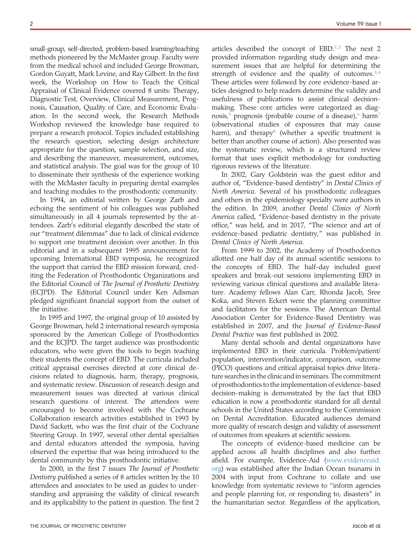small-group, self-directed, problem-based learning/teaching methods pioneered by the McMaster group. Faculty were from the medical school and included George Browman, Gordon Guyatt, Mark Levine, and Ray Gilbert. In the first week, the Workshop on How to Teach the Critical Appraisal of Clinical Evidence covered 8 units: Therapy, Diagnostic Test, Overview, Clinical Measurement, Prognosis, Causation, Quality of Care, and Economic Evaluation. In the second week, the Research Methods Workshop reviewed the knowledge base required to prepare a research protocol. Topics included establishing the research question, selecting design architecture appropriate for the question, sample selection, and size, and describing the maneuver, measurement, outcomes, and statistical analysis. The goal was for the group of 10 to disseminate their synthesis of the experience working with the McMaster faculty in preparing dental examples and teaching modules to the prosthodontic community.

In 1994, an editorial written by George Zarb and echoing the sentiment of his colleagues was published simultaneously in all 4 journals represented by the attendees. Zarb's editorial elegantly described the state of our "treatment dilemmas" due to lack of clinical evidence to support one treatment decision over another. In this editorial and in a subsequent 1995 announcement for upcoming International EBD symposia, he recognized the support that carried the EBD mission forward, crediting the Federation of Prosthodontic Organizations and the Editorial Council of The Journal of Prosthetic Dentistry (ECJPD). The Editorial Council under Ken Adisman pledged significant financial support from the outset of the initiative.

In 1995 and 1997, the original group of 10 assisted by George Browman, held 2 international research symposia sponsored by the American College of Prosthodontics and the ECJPD. The target audience was prosthodontic educators, who were given the tools to begin teaching their students the concept of EBD. The curricula included critical appraisal exercises directed at core clinical decisions related to diagnosis, harm, therapy, prognosis, and systematic review. Discussion of research design and measurement issues was directed at various clinical research questions of interest. The attendees were encouraged to become involved with the Cochrane Collaboration research activities established in 1993 by David Sackett, who was the first chair of the Cochrane Steering Group. In 1997, several other dental specialties and dental educators attended the symposia, having observed the expertise that was being introduced to the dental community by this prosthodontic initiative.

In 2000, in the first 7 issues The Journal of Prosthetic Dentistry published a series of 8 articles written by the 10 attendees and associates to be used as guides to understanding and appraising the validity of clinical research and its applicability to the patient in question. The first 2 articles described the concept of EBD.<sup>[1,2](#page-2-0)</sup> The next 2 provided information regarding study design and measurement issues that are helpful for determining the strength of evidence and the quality of outcomes. $3,4$ These articles were followed by core evidence-based articles designed to help readers determine the validity and usefulness of publications to assist clinical decisionmaking. These core articles were categorized as diagnosis, $5$  prognosis (probable course of a disease), $6$  harm<sup>[7](#page-2-0)</sup> (observational studies of exposures that may cause harm), and therapy<sup>[8](#page-2-0)</sup> (whether a specific treatment is better than another course of action). Also presented was the systematic review, which is a structured review format that uses explicit methodology for conducting rigorous reviews of the literature.

In 2002, Gary Goldstein was the guest editor and author of, "Evidence-based dentistry" in Dental Clinics of North America. Several of his prosthodontic colleagues and others in the epidemiology specialty were authors in the edition. In 2009, another Dental Clinics of North America called, "Evidence-based dentistry in the private office," was held, and in 2017, "The science and art of evidence-based pediatric dentistry," was published in Dental Clinics of North America.

From 1999 to 2002, the Academy of Prosthodontics allotted one half day of its annual scientific sessions to the concepts of EBD. The half-day included guest speakers and break-out sessions implementing EBD in reviewing various clinical questions and available literature. Academy fellows Alan Carr, Rhonda Jacob, Sree Koka, and Steven Eckert were the planning committee and facilitators for the sessions. The American Dental Association Center for Evidence-Based Dentistry was established in 2007, and the Journal of Evidence-Based Dental Practice was first published in 2002.

Many dental schools and dental organizations have implemented EBD in their curricula. Problem/patient/ population, intervention/indicator, comparison, outcome (PICO) questions and critical appraisal topics drive literature searches in the clinic and in seminars. The commitment of prosthodontics to the implementation of evidence-based decision-making is demonstrated by the fact that EBD education is now a prosthodontic standard for all dental schools in the United States according to the Commission on Dental Accreditation. Educated audiences demand more quality of research design and validity of assessment of outcomes from speakers at scientific sessions.

The concepts of evidence-based medicine can be applied across all health disciplines and also further afield. For example, Evidence-Aid ([www.evidenceaid.](http://www.evidenceaid.org) [org](http://www.evidenceaid.org)) was established after the Indian Ocean tsunami in 2004 with input from Cochrane to collate and use knowledge from systematic reviews to "inform agencies and people planning for, or responding to, disasters" in the humanitarian sector. Regardless of the application,